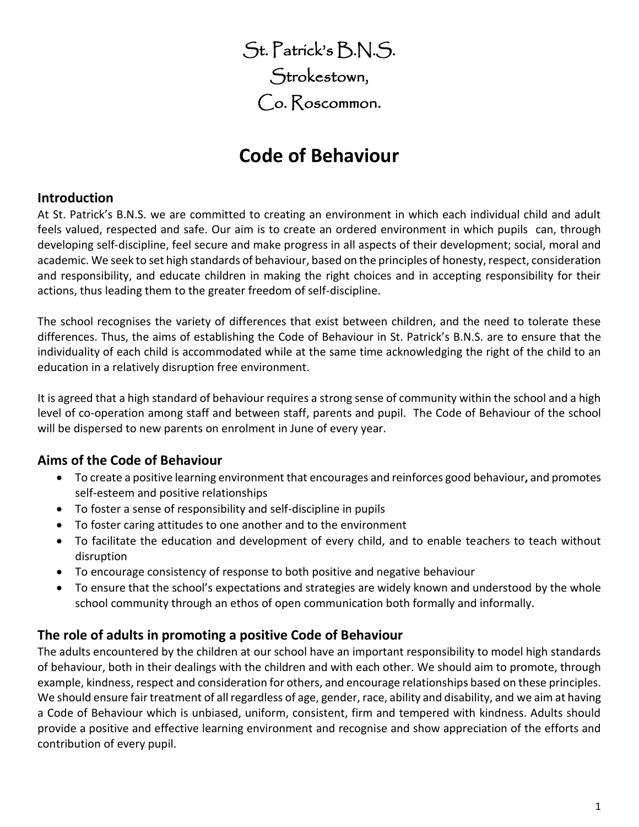St. Patrick's B.N.S. Strokestown, Co. Roscommon.

# **Code of Behaviour**

#### **Introduction**

At St. Patrick's B.N.S. we are committed to creating an environment in which each individual child and adult feels valued, respected and safe. Our aim is to create an ordered environment in which pupils can, through developing self-discipline, feel secure and make progress in all aspects of their development; social, moral and academic. We seek to set high standards of behaviour, based on the principles of honesty, respect, consideration and responsibility, and educate children in making the right choices and in accepting responsibility for their actions, thus leading them to the greater freedom of self-discipline.

The school recognises the variety of differences that exist between children, and the need to tolerate these differences. Thus, the aims of establishing the Code of Behaviour in St. Patrick's B.N.S. are to ensure that the individuality of each child is accommodated while at the same time acknowledging the right of the child to an education in a relatively disruption free environment.

It is agreed that a high standard of behaviour requires a strong sense of community within the school and a high level of co-operation among staff and between staff, parents and pupil. The Code of Behaviour of the school will be dispersed to new parents on enrolment in June of every year.

## **Aims of the Code of Behaviour**

- To create a positive learning environment that encourages and reinforces good behaviour**,** and promotes self-esteem and positive relationships
- To foster a sense of responsibility and self-discipline in pupils
- To foster caring attitudes to one another and to the environment
- To facilitate the education and development of every child, and to enable teachers to teach without disruption
- To encourage consistency of response to both positive and negative behaviour
- To ensure that the school's expectations and strategies are widely known and understood by the whole school community through an ethos of open communication both formally and informally.

# **The role of adults in promoting a positive Code of Behaviour**

The adults encountered by the children at our school have an important responsibility to model high standards of behaviour, both in their dealings with the children and with each other. We should aim to promote, through example, kindness, respect and consideration for others, and encourage relationships based on these principles. We should ensure fair treatment of all regardless of age, gender, race, ability and disability, and we aim at having a Code of Behaviour which is unbiased, uniform, consistent, firm and tempered with kindness. Adults should provide a positive and effective learning environment and recognise and show appreciation of the efforts and contribution of every pupil.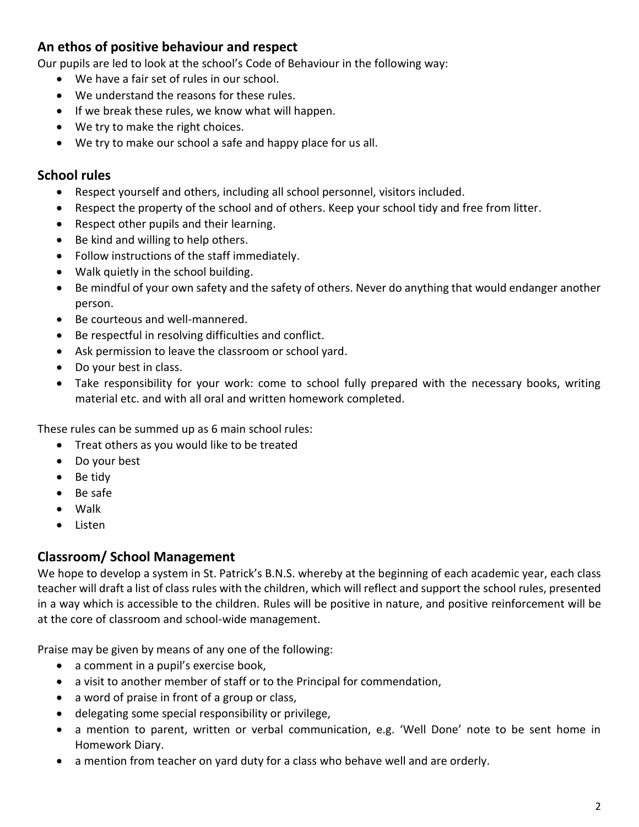## **An ethos of positive behaviour and respect**

Our pupils are led to look at the school's Code of Behaviour in the following way:

- We have a fair set of rules in our school.
- We understand the reasons for these rules.
- If we break these rules, we know what will happen.
- We try to make the right choices.
- We try to make our school a safe and happy place for us all.

#### **School rules**

- Respect yourself and others, including all school personnel, visitors included.
- Respect the property of the school and of others. Keep your school tidy and free from litter.
- Respect other pupils and their learning.
- Be kind and willing to help others.
- Follow instructions of the staff immediately.
- Walk quietly in the school building.
- Be mindful of your own safety and the safety of others. Never do anything that would endanger another person.
- Be courteous and well-mannered.
- Be respectful in resolving difficulties and conflict.
- Ask permission to leave the classroom or school yard.
- Do your best in class.
- Take responsibility for your work: come to school fully prepared with the necessary books, writing material etc. and with all oral and written homework completed.

These rules can be summed up as 6 main school rules:

- Treat others as you would like to be treated
- Do your best
- Be tidy
- Be safe
- Walk
- Listen

## **Classroom/ School Management**

We hope to develop a system in St. Patrick's B.N.S. whereby at the beginning of each academic year, each class teacher will draft a list of class rules with the children, which will reflect and support the school rules, presented in a way which is accessible to the children. Rules will be positive in nature, and positive reinforcement will be at the core of classroom and school-wide management.

Praise may be given by means of any one of the following:

- a comment in a pupil's exercise book,
- a visit to another member of staff or to the Principal for commendation,
- a word of praise in front of a group or class,
- delegating some special responsibility or privilege,
- a mention to parent, written or verbal communication, e.g. 'Well Done' note to be sent home in Homework Diary.
- a mention from teacher on yard duty for a class who behave well and are orderly.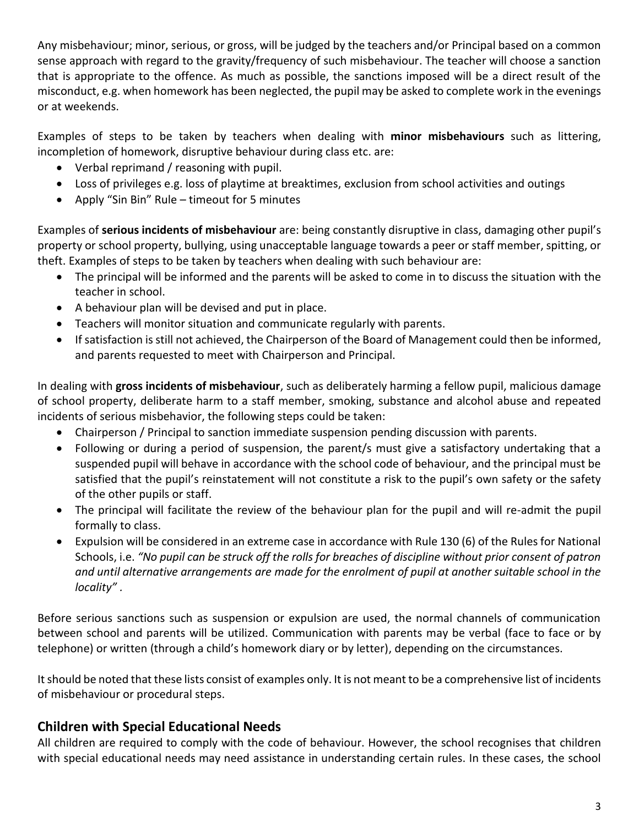Any misbehaviour; minor, serious, or gross, will be judged by the teachers and/or Principal based on a common sense approach with regard to the gravity/frequency of such misbehaviour. The teacher will choose a sanction that is appropriate to the offence. As much as possible, the sanctions imposed will be a direct result of the misconduct, e.g. when homework has been neglected, the pupil may be asked to complete work in the evenings or at weekends.

Examples of steps to be taken by teachers when dealing with **minor misbehaviours** such as littering, incompletion of homework, disruptive behaviour during class etc. are:

- Verbal reprimand / reasoning with pupil.
- Loss of privileges e.g. loss of playtime at breaktimes, exclusion from school activities and outings
- Apply "Sin Bin" Rule timeout for 5 minutes

Examples of **serious incidents of misbehaviour** are: being constantly disruptive in class, damaging other pupil's property or school property, bullying, using unacceptable language towards a peer or staff member, spitting, or theft. Examples of steps to be taken by teachers when dealing with such behaviour are:

- The principal will be informed and the parents will be asked to come in to discuss the situation with the teacher in school.
- A behaviour plan will be devised and put in place.
- Teachers will monitor situation and communicate regularly with parents.
- If satisfaction is still not achieved, the Chairperson of the Board of Management could then be informed, and parents requested to meet with Chairperson and Principal.

In dealing with **gross incidents of misbehaviour**, such as deliberately harming a fellow pupil, malicious damage of school property, deliberate harm to a staff member, smoking, substance and alcohol abuse and repeated incidents of serious misbehavior, the following steps could be taken:

- Chairperson / Principal to sanction immediate suspension pending discussion with parents.
- Following or during a period of suspension, the parent/s must give a satisfactory undertaking that a suspended pupil will behave in accordance with the school code of behaviour, and the principal must be satisfied that the pupil's reinstatement will not constitute a risk to the pupil's own safety or the safety of the other pupils or staff.
- The principal will facilitate the review of the behaviour plan for the pupil and will re-admit the pupil formally to class.
- Expulsion will be considered in an extreme case in accordance with Rule 130 (6) of the Rules for National Schools, i.e. *"No pupil can be struck off the rolls for breaches of discipline without prior consent of patron and until alternative arrangements are made for the enrolment of pupil at another suitable school in the locality" .*

Before serious sanctions such as suspension or expulsion are used, the normal channels of communication between school and parents will be utilized. Communication with parents may be verbal (face to face or by telephone) or written (through a child's homework diary or by letter), depending on the circumstances.

It should be noted that these lists consist of examples only. It is not meant to be a comprehensive list of incidents of misbehaviour or procedural steps.

## **Children with Special Educational Needs**

All children are required to comply with the code of behaviour. However, the school recognises that children with special educational needs may need assistance in understanding certain rules. In these cases, the school